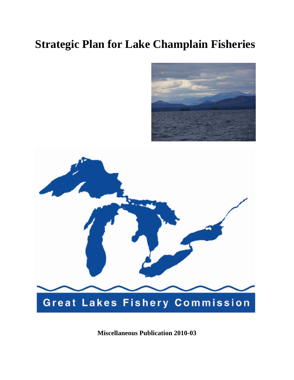# **Strategic Plan for Lake Champlain Fisheries**





**Miscellaneous Publication 2010-03**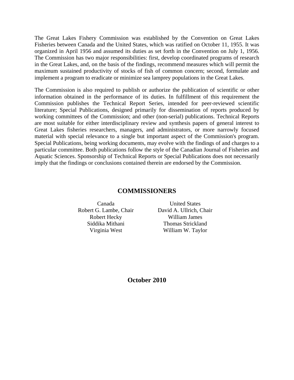The Great Lakes Fishery Commission was established by the Convention on Great Lakes Fisheries between Canada and the United States, which was ratified on October 11, 1955. It was organized in April 1956 and assumed its duties as set forth in the Convention on July 1, 1956. The Commission has two major responsibilities: first, develop coordinated programs of research in the Great Lakes, and, on the basis of the findings, recommend measures which will permit the maximum sustained productivity of stocks of fish of common concern; second, formulate and implement a program to eradicate or minimize sea lamprey populations in the Great Lakes.

The Commission is also required to publish or authorize the publication of scientific or other information obtained in the performance of its duties. In fulfillment of this requirement the Commission publishes the Technical Report Series, intended for peer-reviewed scientific literature; Special Publications, designed primarily for dissemination of reports produced by working committees of the Commission; and other (non-serial) publications. Technical Reports are most suitable for either interdisciplinary review and synthesis papers of general interest to Great Lakes fisheries researchers, managers, and administrators, or more narrowly focused material with special relevance to a single but important aspect of the Commission's program. Special Publications, being working documents, may evolve with the findings of and charges to a particular committee. Both publications follow the style of the Canadian Journal of Fisheries and Aquatic Sciences. Sponsorship of Technical Reports or Special Publications does not necessarily imply that the findings or conclusions contained therein are endorsed by the Commission.

## **COMMISSIONERS**

Robert G. Lambe, Chair David A. Ullrich, Chair

Canada United States Robert Hecky William James Siddika Mithani Thomas Strickland Virginia West William W. Taylor

**October 2010**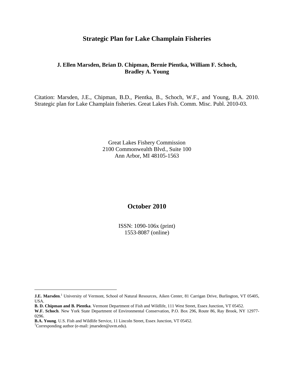# **Strategic Plan for Lake Champlain Fisheries**

## **J. Ellen Marsden, Brian D. Chipman, Bernie Pientka, William F. Schoch, Bradley A. Young**

Citation: Marsden, J.E., Chipman, B.D., Pientka, B., Schoch, W.F., and Young, B.A. 2010. Strategic plan for Lake Champlain fisheries. Great Lakes Fish. Comm. Misc. Publ. 2010-03.

> Great Lakes Fishery Commission 2100 Commonwealth Blvd., Suite 100 Ann Arbor, MI 48105-1563

# **October 2010**

ISSN: 1090-106x (print) 1553-8087 (online)

**J.E. Marsden.**<sup>1</sup> University of Vermont, School of Natural Resources, Aiken Center, 81 Carrigan Drive, Burlington, VT 05405, USA.

**B. D. Chipman and B. Pientka**. Vermont Department of Fish and Wildlife, 111 West Street, Essex Junction, VT 05452.

**W.F. Schoch**. New York State Department of Environmental Conservation, P.O. Box 296, Route 86, Ray Brook, NY 12977- 0296.

**B.A. Young**. U.S. Fish and Wildlife Service, 11 Lincoln Street, Essex Junction, VT 05452. <sup>1</sup>

<sup>&</sup>lt;sup>1</sup>Corresponding author (e-mail: jmarsden@uvm.edu).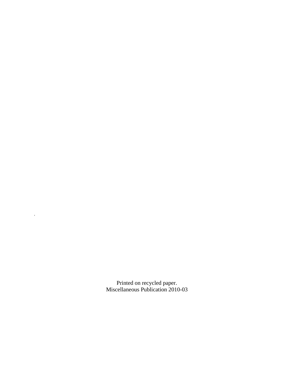Printed on recycled paper. Miscellaneous Publication 2010-03

 $\hat{\mathbf{r}}$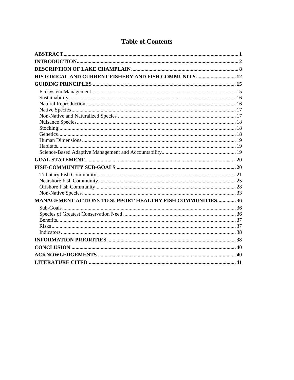| <b>MANAGEMENT ACTIONS TO SUPPORT HEALTHY FISH COMMUNITIES 36</b> |  |
|------------------------------------------------------------------|--|
|                                                                  |  |
|                                                                  |  |
|                                                                  |  |
|                                                                  |  |
|                                                                  |  |
|                                                                  |  |
|                                                                  |  |
|                                                                  |  |
|                                                                  |  |

# **Table of Contents**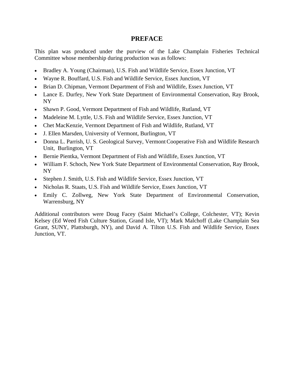# **PREFACE**

This plan was produced under the purview of the Lake Champlain Fisheries Technical Committee whose membership during production was as follows:

- Bradley A. Young (Chairman), U.S. Fish and Wildlife Service, Essex Junction, VT
- Wayne R. Bouffard, U.S. Fish and Wildlife Service, Essex Junction, VT
- Brian D. Chipman, Vermont Department of Fish and Wildlife, Essex Junction, VT
- Lance E. Durfey, New York State Department of Environmental Conservation, Ray Brook, NY
- Shawn P. Good, Vermont Department of Fish and Wildlife, Rutland, VT
- Madeleine M. Lyttle, U.S. Fish and Wildlife Service, Essex Junction, VT
- Chet MacKenzie, Vermont Department of Fish and Wildlife, Rutland, VT
- J. Ellen Marsden, University of Vermont, Burlington, VT
- Donna L. Parrish, U. S. Geological Survey, VermontCooperative Fish and Wildlife Research Unit, Burlington, VT
- Bernie Pientka, Vermont Department of Fish and Wildlife, Essex Junction, VT
- William F. Schoch, New York State Department of Environmental Conservation, Ray Brook, NY
- Stephen J. Smith, U.S. Fish and Wildlife Service, Essex Junction, VT
- Nicholas R. Staats, U.S. Fish and Wildlife Service, Essex Junction, VT
- Emily C. Zollweg, New York State Department of Environmental Conservation, Warrensburg, NY

Additional contributors were Doug Facey (Saint Michael's College, Colchester, VT); Kevin Kelsey (Ed Weed Fish Culture Station, Grand Isle, VT); Mark Malchoff (Lake Champlain Sea Grant, SUNY, Plattsburgh, NY), and David A. Tilton U.S. Fish and Wildlife Service, Essex Junction, VT.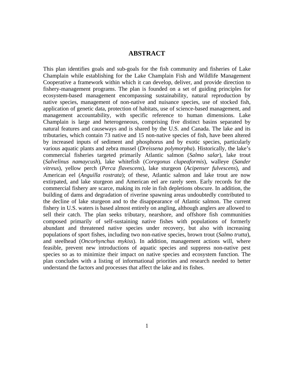## **ABSTRACT**

This plan identifies goals and sub-goals for the fish community and fisheries of Lake Champlain while establishing for the Lake Champlain Fish and Wildlife Management Cooperative a framework within which it can develop, deliver, and provide direction to fishery-management programs. The plan is founded on a set of guiding principles for ecosystem-based management encompassing sustainability, natural reproduction by native species, management of non-native and nuisance species, use of stocked fish, application of genetic data, protection of habitats, use of science-based management, and management accountability, with specific reference to human dimensions. Lake Champlain is large and heterogeneous, comprising five distinct basins separated by natural features and causeways and is shared by the U.S. and Canada. The lake and its tributaries, which contain 73 native and 15 non-native species of fish, have been altered by increased inputs of sediment and phosphorus and by exotic species, particularly various aquatic plants and zebra mussel (*Dreissena polymorpha*). Historically, the lake's commercial fisheries targeted primarily Atlantic salmon (*Salmo salar*), lake trout (*Salvelinus namaycush*), lake whitefish (*Coregonus clupeaformis*), walleye (*Sander vitreus*), yellow perch (*Perca flavescens*), lake sturgeon (*Acipenser fulvescens*), and American eel (*Anguilla rostrata*); of these, Atlantic salmon and lake trout are now extirpated, and lake sturgeon and American eel are rarely seen. Early records for the commercial fishery are scarce, making its role in fish depletions obscure. In addition, the building of dams and degradation of riverine spawning areas undoubtedly contributed to the decline of lake sturgeon and to the disappearance of Atlantic salmon. The current fishery in U.S. waters is based almost entirely on angling, although anglers are allowed to sell their catch. The plan seeks tributary, nearshore, and offshore fish communities composed primarily of self-sustaining native fishes with populations of formerly abundant and threatened native species under recovery, but also with increasing populations of sport fishes, including two non-native species, brown trout (*Salmo trutta*), and steelhead (*Oncorhynchus mykiss*). In addition, management actions will, where feasible, prevent new introductions of aquatic species and suppress non-native pest species so as to minimize their impact on native species and ecosystem function. The plan concludes with a listing of informational priorities and research needed to better understand the factors and processes that affect the lake and its fishes.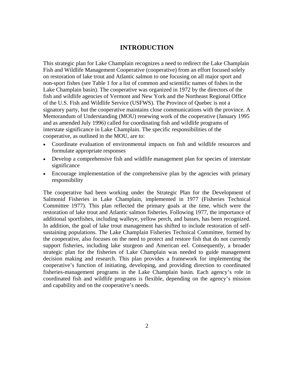# **INTRODUCTION**

This strategic plan for Lake Champlain recognizes a need to redirect the Lake Champlain Fish and Wildlife Management Cooperative (cooperative) from an effort focused solely on restoration of lake trout and Atlantic salmon to one focusing on all major sport and non-sport fishes (see Table 1 for a list of common and scientific names of fishes in the Lake Champlain basin). The cooperative was organized in 1972 by the directors of the fish and wildlife agencies of Vermont and New York and the Northeast Regional Office of the U.S. Fish and Wildlife Service (USFWS). The Province of Quebec is not a signatory party, but the cooperative maintains close communications with the province. A Memorandum of Understanding (MOU) renewing work of the cooperative (January 1995 and as amended July 1996) called for coordinating fish and wildlife programs of interstate significance in Lake Champlain. The specific responsibilities of the cooperative, as outlined in the MOU, are to:

- Coordinate evaluation of environmental impacts on fish and wildlife resources and formulate appropriate responses
- Develop a comprehensive fish and wildlife management plan for species of interstate significance
- Encourage implementation of the comprehensive plan by the agencies with primary responsibility

The cooperative had been working under the Strategic Plan for the Development of Salmonid Fisheries in Lake Champlain, implemented in 1977 (Fisheries Technical Committee 1977). This plan reflected the primary goals at the time, which were the restoration of lake trout and Atlantic salmon fisheries. Following 1977, the importance of additional sportfishes, including walleye, yellow perch, and basses, has been recognized. In addition, the goal of lake trout management has shifted to include restoration of selfsustaining populations. The Lake Champlain Fisheries Technical Committee, formed by the cooperative, also focuses on the need to protect and restore fish that do not currently support fisheries, including lake sturgeon and American eel. Consequently, a broader strategic plan for the fisheries of Lake Champlain was needed to guide management decision making and research. This plan provides a framework for implementing the cooperative's function of initiating, developing, and providing direction to coordinated fisheries-management programs in the Lake Champlain basin. Each agency's role in coordinated fish and wildlife programs is flexible, depending on the agency's mission and capability and on the cooperative's needs.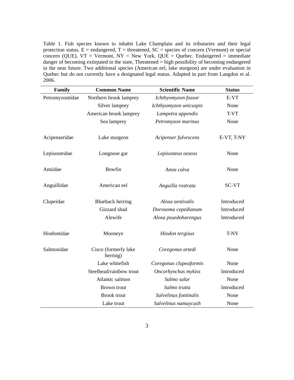Table 1. Fish species known to inhabit Lake Champlain and its tributaries and their legal protection status.  $E =$  endangered,  $T =$  threatened,  $SC =$  species of concern (Vermont) or special concern (QUE),  $VT = Vermont$ ,  $NY = New York$ ,  $QUE = Quebec$ . Endangered = immediate danger of becoming extirpated in the state, Threatened = high possibility of becoming endangered in the near future. Two additional species (American eel, lake sturgeon) are under evaluation in Quebec but do not currently have a designated legal status. Adapted in part from Langdon et al. 2006.

| Family          | <b>Common Name</b>               | <b>Scientific Name</b> | <b>Status</b> |
|-----------------|----------------------------------|------------------------|---------------|
| Petromyzontidae | Northern brook lamprey           | Ichthyomyzon fossor    | E-VT          |
|                 | Silver lamprey                   | Ichthyomyzon unicuspis | None          |
|                 | American brook lamprey           | Lampetra appendix      | T-VT          |
|                 | Sea lamprey                      | Petromyzon marinus     | None          |
| Acipenseridae   | Lake sturgeon                    | Acipenser fulvescens   | E-VT, T-NY    |
| Lepisosteidae   | Longnose gar                     | Lepisosteus osseus     | None          |
| Amiidae         | <b>Bowfin</b>                    | Amia calva             | None          |
| Anguillidae     | American eel                     | Anguilla rostrata      | <b>SC-VT</b>  |
| Clupeidae       | <b>Blueback herring</b>          | Alosa aestivalis       | Introduced    |
|                 | Gizzard shad                     | Dorosoma cepedianum    | Introduced    |
|                 | Alewife                          | Alosa psuedoharengus   | Introduced    |
| Hiodontidae     | Mooneye                          | Hiodon tergisus        | T-NY          |
| Salmonidae      | Cisco (formerly lake<br>herring) | Coregonus artedi       | None          |
|                 | Lake whitefish                   | Coregonus clupeaformis | None          |
|                 | Steelhead/rainbow trout          | Oncorhynchus mykiss    | Introduced    |
|                 | Atlantic salmon                  | Salmo salar            | None          |
|                 | Brown trout                      | Salmo trutta           | Introduced    |
|                 | <b>Brook</b> trout               | Salvelinus fontinalis  | None          |
|                 | Lake trout                       | Salvelinus namaycush   | None          |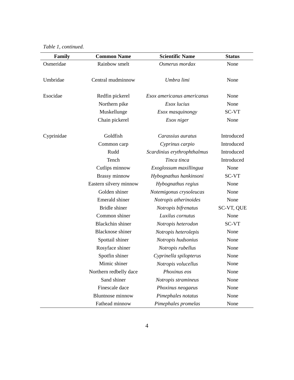*Table 1, continued.* 

| Family     | <b>Common Name</b>      | <b>Scientific Name</b>      | <b>Status</b> |
|------------|-------------------------|-----------------------------|---------------|
| Osmeridae  | Rainbow smelt           | Osmerus mordax              | None          |
| Umbridae   | Central mudminnow       | Umbra limi                  | None          |
| Esocidae   | Redfin pickerel         | Esox americanus americanus  | None          |
|            | Northern pike           | Esox lucius                 | None          |
|            | Muskellunge             | Esox masquinongy            | <b>SC-VT</b>  |
|            | Chain pickerel          | Esox niger                  | None          |
| Cyprinidae | Goldfish                | Carassius auratus           | Introduced    |
|            | Common carp             | Cyprinus carpio             | Introduced    |
|            | Rudd                    | Scardinius erythrophthalmus | Introduced    |
|            | Tench                   | Tinca tinca                 | Introduced    |
|            | Cutlips minnow          | Exoglossum maxillingua      | None          |
|            | <b>Brassy</b> minnow    | Hybognathus hankinsoni      | SC-VT         |
|            | Eastern silvery minnow  | Hybognathus regius          | None          |
|            | Golden shiner           | Notemigonus crysoleucas     | None          |
|            | Emerald shiner          | Notropis atherinoides       | None          |
|            | <b>Bridle</b> shiner    | Notropis bifrenatus         | SC-VT, QUE    |
|            | Common shiner           | Luxilus cornutus            | None          |
|            | <b>Blackchin</b> shiner | Notropis heterodon          | SC-VT         |
|            | <b>Blacknose</b> shiner | Notropis heterolepis        | None          |
|            | Spottail shiner         | Notropis hudsonius          | None          |
|            | Rosyface shiner         | Notropis rubellus           | None          |
|            | Spotfin shiner          | Cyprinella spilopterus      | None          |
|            | Mimic shiner            | Notropis volucellus         | None          |
|            | Northern redbelly dace  | Phoxinus eos                | None          |
|            | Sand shiner             | Notropis stramineus         | None          |
|            | Finescale dace          | Phoxinus neogaeus           | None          |
|            | <b>Bluntnose minnow</b> | Pimephales notatus          | None          |
|            | Fathead minnow          | Pimephales promelas         | None          |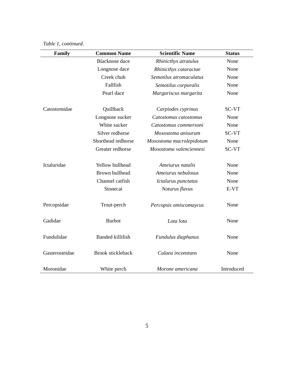## *Table 1, continued.*

| Family         | <b>Common Name</b>       | <b>Scientific Name</b>   | <b>Status</b> |
|----------------|--------------------------|--------------------------|---------------|
|                | <b>Blacknose</b> dace    | Rhinicthys atratulus     | None          |
|                | Longnose dace            | Rhinicthys cataractae    | None          |
|                | Creek chub               | Semotilus atromaculatus  | None          |
|                | Fallfish                 | Semotilus corporalis     | None          |
|                | Pearl dace               | Margariscus margarita    | None          |
| Catostomidae   | Quillback                | Carpiodes cyprinus       | SC-VT         |
|                | Longnose sucker          | Catostomus catostomus    | None          |
|                | White sucker             | Catostomus commersoni    | None          |
|                | Silver redhorse          | Moxostoma anisurum       | <b>SC-VT</b>  |
|                | Shorthead redhorse       | Moxostoma macrolepidotum | None          |
|                | Greater redhorse         | Moxostoma valenciennesi  | <b>SC-VT</b>  |
| Ictaluridae    | Yellow bullhead          | Ameiurus natalis         | None          |
|                | Brown bullhead           | Ameiurus nebulosus       | None          |
|                | Channel catfish          | Ictalurus punctatus      | None          |
|                | Stonecat                 | Noturus flavus           | E-VT          |
| Percopsidae    | Trout-perch              | Percopsis omiscomaycus   | None          |
| Gadidae        | <b>Burbot</b>            | Lota lota                | None          |
| Fundulidae     | <b>Banded killifish</b>  | Fundulus diaphanus       | None          |
| Gasterosteidae | <b>Brook stickleback</b> | Culaea inconstans        | None          |
| Moronidae      | White perch              | Morone americana         | Introduced    |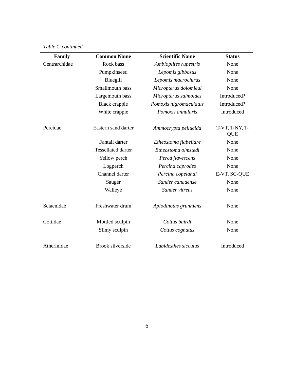*Table 1, continued.* 

| Family        | <b>Common Name</b>      | <b>Scientific Name</b> | <b>Status</b>                |
|---------------|-------------------------|------------------------|------------------------------|
| Centrarchidae | Rock bass               | Ambloplites rupestris  | None                         |
|               | Pumpkinseed             | Lepomis gibbosus       | None                         |
|               | Bluegill                | Lepomis macrochirus    | None                         |
|               | Smallmouth bass         | Micropterus dolomieui  | None                         |
|               | Largemouth bass         | Micropterus salmoides  | Introduced?                  |
|               | Black crappie           | Pomoxis nigromaculatus | Introduced?                  |
|               | White crappie           | Pomoxis annularis      | Introduced                   |
| Percidae      | Eastern sand darter     | Ammocrypta pellucida   | T-VT, T-NY, T-<br><b>QUE</b> |
|               | Fantail darter          | Etheostoma flabellare  | None                         |
|               | Tessellated darter      | Etheostoma olmstedi    | None                         |
|               | Yellow perch            | Perca flavescens       | None                         |
|               | Logperch                | Percina caprodes       | None                         |
|               | Channel darter          | Percina copelandi      | E-VT, SC-QUE                 |
|               | Sauger                  | Sander canadense       | None                         |
|               | Walleye                 | Sander vitreus         | None                         |
| Sciaenidae    | Freshwater drum         | Aplodinotus grunniens  | None                         |
| Cottidae      | Mottled sculpin         | Cottus bairdi          | None                         |
|               | Slimy sculpin           | Cottus cognatus        | None                         |
| Atherinidae   | <b>Brook silverside</b> | Labidesthes sicculus   | Introduced                   |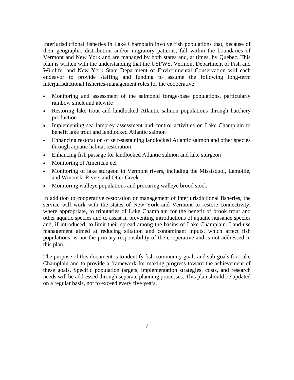Interjurisdictional fisheries in Lake Champlain involve fish populations that, because of their geographic distribution and/or migratory patterns, fall within the boundaries of Vermont and New York and are managed by both states and, at times, by Quebec. This plan is written with the understanding that the USFWS, Vermont Department of Fish and Wildlife, and New York State Department of Environmental Conservation will each endeavor to provide staffing and funding to assume the following long-term interjurisdictional fisheries-management roles for the cooperative:

- Monitoring and assessment of the salmonid forage-base populations, particularly rainbow smelt and alewife
- Restoring lake trout and landlocked Atlantic salmon populations through hatchery production
- Implementing sea lamprey assessment and control activities on Lake Champlain to benefit lake trout and landlocked Atlantic salmon
- Enhancing restoration of self-sustaining landlocked Atlantic salmon and other species through aquatic habitat restoration
- Enhancing fish passage for landlocked Atlantic salmon and lake sturgeon
- Monitoring of American eel
- Monitoring of lake sturgeon in Vermont rivers, including the Missisquoi, Lamoille, and Winooski Rivers and Otter Creek
- Monitoring walleye populations and procuring walleye brood stock

In addition to cooperative restoration or management of interjurisdictional fisheries, the service will work with the states of New York and Vermont to restore connectivity, where appropriate, to tributaries of Lake Champlain for the benefit of brook trout and other aquatic species and to assist in preventing introductions of aquatic nuisance species and, if introduced, to limit their spread among the basins of Lake Champlain. Land-use management aimed at reducing siltation and contaminant inputs, which affect fish populations, is not the primary responsibility of the cooperative and is not addressed in this plan.

The purpose of this document is to identify fish-community goals and sub-goals for Lake Champlain and to provide a framework for making progress toward the achievement of these goals. Specific population targets, implementation strategies, costs, and research needs will be addressed through separate planning processes. This plan should be updated on a regular basis, not to exceed every five years.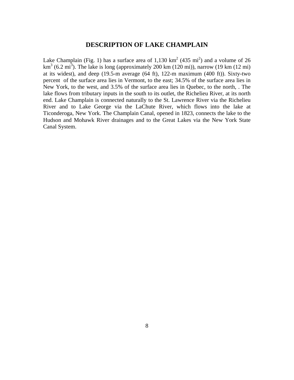# **DESCRIPTION OF LAKE CHAMPLAIN**

Lake Champlain (Fig. 1) has a surface area of 1,130  $\text{km}^2$  (435 mi<sup>2</sup>) and a volume of 26 km<sup>3</sup> (6.2 mi<sup>3</sup>). The lake is long (approximately 200 km (120 mi)), narrow (19 km (12 mi) at its widest), and deep (19.5-m average (64 ft), 122-m maximum (400 ft)). Sixty-two percent of the surface area lies in Vermont, to the east; 34.5% of the surface area lies in New York, to the west, and 3.5% of the surface area lies in Quebec, to the north, . The lake flows from tributary inputs in the south to its outlet, the Richelieu River, at its north end. Lake Champlain is connected naturally to the St. Lawrence River via the Richelieu River and to Lake George via the LaChute River, which flows into the lake at Ticonderoga, New York. The Champlain Canal, opened in 1823, connects the lake to the Hudson and Mohawk River drainages and to the Great Lakes via the New York State Canal System.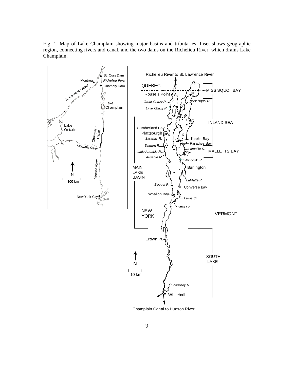Fig. 1. Map of Lake Champlain showing major basins and tributaries. Inset shows geographic region, connecting rivers and canal, and the two dams on the Richelieu River, which drains Lake Champlain.

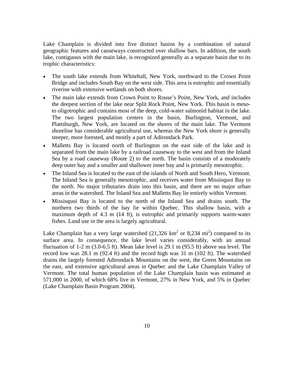Lake Champlain is divided into five distinct basins by a combination of natural geographic features and causeways constructed over shallow bars. In addition, the south lake, contiguous with the main lake, is recognized generally as a separate basin due to its trophic characteristics:

- The south lake extends from Whitehall, New York, northward to the Crown Point Bridge and includes South Bay on the west side. This area is eutrophic and essentially riverine with extensive wetlands on both shores.
- The main lake extends from Crown Point to Rouse's Point, New York, and includes the deepest section of the lake near Split Rock Point, New York. This basin is mesoto oligotrophic and contains most of the deep, cold-water salmonid habitat in the lake. The two largest population centers in the basin, Burlington, Vermont, and Plattsburgh, New York, are located on the shores of the main lake. The Vermont shoreline has considerable agricultural use, whereas the New York shore is generally steeper, more forested, and mostly a part of Adirondack Park.
- Malletts Bay is located north of Burlington on the east side of the lake and is separated from the main lake by a railroad causeway to the west and from the Inland Sea by a road causeway (Route 2) to the north. The basin consists of a moderately deep outer bay and a smaller and shallower inner bay and is primarily mesotrophic.
- The Inland Sea is located to the east of the islands of North and South Hero, Vermont. The Inland Sea is generally mesotrophic, and receives water from Missisquoi Bay to the north. No major tributaries drain into this basin, and there are no major urban areas in the watershed. The Inland Sea and Malletts Bay lie entirely within Vermont.
- Missisquoi Bay is located to the north of the Inland Sea and drains south. The northern two thirds of the bay lie within Quebec. This shallow basin, with a maximum depth of 4.3 m (14 ft), is eutrophic and primarily supports warm-water fishes. Land use in the area is largely agricultural.

Lake Champlain has a very large watershed  $(21,326 \text{ km}^2 \text{ or } 8,234 \text{ mi}^2)$  compared to its surface area. In consequence, the lake level varies considerably, with an annual fluctuation of 1-2 m (3.0-6.5 ft). Mean lake level is 29.1 m (95.5 ft) above sea level. The record low was 28.1 m (92.4 ft) and the record high was 31 m (102 ft). The watershed drains the largely forested Adirondack Mountains on the west, the Green Mountains on the east, and extensive agricultural areas in Quebec and the Lake Champlain Valley of Vermont. The total human population of the Lake Champlain basin was estimated at 571,000 in 2000, of which 68% live in Vermont, 27% in New York, and 5% in Quebec (Lake Champlain Basin Program 2004).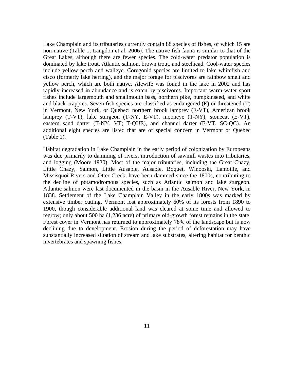Lake Champlain and its tributaries currently contain 88 species of fishes, of which 15 are non-native (Table 1; Langdon et al. 2006). The native fish fauna is similar to that of the Great Lakes, although there are fewer species. The cold-water predator population is dominated by lake trout, Atlantic salmon, brown trout, and steelhead. Cool-water species include yellow perch and walleye. Coregonid species are limited to lake whitefish and cisco (formerly lake herring), and the major forage for piscivores are rainbow smelt and yellow perch, which are both native. Alewife was found in the lake in 2002 and has rapidly increased in abundance and is eaten by piscivores. Important warm-water sport fishes include largemouth and smallmouth bass, northern pike, pumpkinseed, and white and black crappies. Seven fish species are classified as endangered (E) or threatened (T) in Vermont, New York, or Quebec: northern brook lamprey (E-VT), American brook lamprey (T-VT), lake sturgeon (T-NY, E-VT), mooneye (T-NY), stonecat (E-VT), eastern sand darter (T-NY, VT; T-QUE), and channel darter (E-VT, SC-QC). An additional eight species are listed that are of special concern in Vermont or Quebec (Table 1).

Habitat degradation in Lake Champlain in the early period of colonization by Europeans was due primarily to damming of rivers, introduction of sawmill wastes into tributaries, and logging (Moore 1930). Most of the major tributaries, including the Great Chazy, Little Chazy, Salmon, Little Ausable, Ausable, Boquet, Winooski, Lamoille, and Missisquoi Rivers and Otter Creek, have been dammed since the 1800s, contributing to the decline of potamodromous species, such as Atlantic salmon and lake sturgeon. Atlantic salmon were last documented in the basin in the Ausable River, New York, in 1838. Settlement of the Lake Champlain Valley in the early 1800s was marked by extensive timber cutting. Vermont lost approximately 60% of its forests from 1890 to 1900, though considerable additional land was cleared at some time and allowed to regrow; only about 500 ha (1,236 acre) of primary old-growth forest remains in the state. Forest cover in Vermont has returned to approximately 78% of the landscape but is now declining due to development. Erosion during the period of deforestation may have substantially increased siltation of stream and lake substrates, altering habitat for benthic invertebrates and spawning fishes.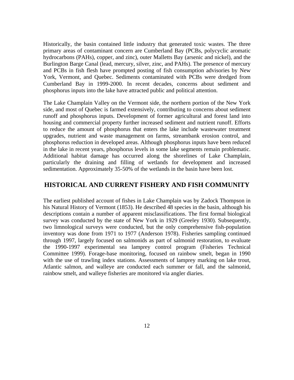Historically, the basin contained little industry that generated toxic wastes. The three primary areas of contaminant concern are Cumberland Bay (PCBs, polycyclic aromatic hydrocarbons (PAHs), copper, and zinc), outer Malletts Bay (arsenic and nickel), and the Burlington Barge Canal (lead, mercury, silver, zinc, and PAHs). The presence of mercury and PCBs in fish flesh have prompted posting of fish consumption advisories by New York, Vermont, and Quebec. Sediments contaminated with PCBs were dredged from Cumberland Bay in 1999-2000. In recent decades, concerns about sediment and phosphorus inputs into the lake have attracted public and political attention.

The Lake Champlain Valley on the Vermont side, the northern portion of the New York side, and most of Quebec is farmed extensively, contributing to concerns about sediment runoff and phosphorus inputs. Development of former agricultural and forest land into housing and commercial property further increased sediment and nutrient runoff. Efforts to reduce the amount of phosphorus that enters the lake include wastewater treatment upgrades, nutrient and waste management on farms, streambank erosion control, and phosphorus reduction in developed areas. Although phosphorus inputs have been reduced in the lake in recent years, phosphorus levels in some lake segments remain problematic. Additional habitat damage has occurred along the shorelines of Lake Champlain, particularly the draining and filling of wetlands for development and increased sedimentation. Approximately 35-50% of the wetlands in the basin have been lost.

# **HISTORICAL AND CURRENT FISHERY AND FISH COMMUNITY**

The earliest published account of fishes in Lake Champlain was by Zadock Thompson in his Natural History of Vermont (1853). He described 48 species in the basin, although his descriptions contain a number of apparent misclassifications. The first formal biological survey was conducted by the state of New York in 1929 (Greeley 1930). Subsequently, two limnological surveys were conducted, but the only comprehensive fish-population inventory was done from 1971 to 1977 (Anderson 1978). Fisheries sampling continued through 1997, largely focused on salmonids as part of salmonid restoration, to evaluate the 1990-1997 experimental sea lamprey control program (Fisheries Technical Committee 1999). Forage-base monitoring, focused on rainbow smelt, began in 1990 with the use of trawling index stations. Assessments of lamprey marking on lake trout, Atlantic salmon, and walleye are conducted each summer or fall, and the salmonid, rainbow smelt, and walleye fisheries are monitored via angler diaries.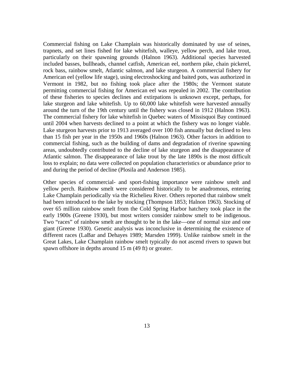Commercial fishing on Lake Champlain was historically dominated by use of seines, trapnets, and set lines fished for lake whitefish, walleye, yellow perch, and lake trout, particularly on their spawning grounds (Halnon 1963). Additional species harvested included basses, bullheads, channel catfish, American eel, northern pike, chain pickerel, rock bass, rainbow smelt, Atlantic salmon, and lake sturgeon. A commercial fishery for American eel (yellow life stage), using electroshocking and baited pots, was authorized in Vermont in 1982, but no fishing took place after the 1980s; the Vermont statute permitting commercial fishing for American eel was repealed in 2002. The contribution of these fisheries to species declines and extirpations is unknown except, perhaps, for lake sturgeon and lake whitefish. Up to 60,000 lake whitefish were harvested annually around the turn of the 19th century until the fishery was closed in 1912 (Halnon 1963). The commercial fishery for lake whitefish in Quebec waters of Missisquoi Bay continued until 2004 when harvests declined to a point at which the fishery was no longer viable. Lake sturgeon harvests prior to 1913 averaged over 100 fish annually but declined to less than 15 fish per year in the 1950s and 1960s (Halnon 1963). Other factors in addition to commercial fishing, such as the building of dams and degradation of riverine spawning areas, undoubtedly contributed to the decline of lake sturgeon and the disappearance of Atlantic salmon. The disappearance of lake trout by the late 1890s is the most difficult loss to explain; no data were collected on population characteristics or abundance prior to and during the period of decline (Plosila and Anderson 1985).

Other species of commercial- and sport-fishing importance were rainbow smelt and yellow perch. Rainbow smelt were considered historically to be anadromous, entering Lake Champlain periodically via the Richelieu River. Others reported that rainbow smelt had been introduced to the lake by stocking (Thompson 1853; Halnon 1963). Stocking of over 65 million rainbow smelt from the Cold Spring Harbor hatchery took place in the early 1900s (Greene 1930), but most writers consider rainbow smelt to be indigenous. Two "races" of rainbow smelt are thought to be in the lake—one of normal size and one giant (Greene 1930). Genetic analysis was inconclusive in determining the existence of different races (LaBar and Dehayes 1989; Marsden 1999). Unlike rainbow smelt in the Great Lakes, Lake Champlain rainbow smelt typically do not ascend rivers to spawn but spawn offshore in depths around 15 m (49 ft) or greater.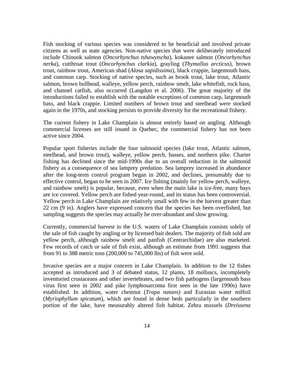Fish stocking of various species was considered to be beneficial and involved private citizens as well as state agencies. Non-native species that were deliberately introduced include Chinook salmon (*Oncorhynchus tshawytscha*), kokanee salmon (*Oncorhynchus nerka*), cutthroat trout (*Oncorhynchus clarkia*), grayling (*Thymallus arcticus*), brown trout, rainbow trout, American shad (*Alosa sapidissima*), black crappie, largemouth bass, and common carp. Stocking of native species, such as brook trout, lake trout, Atlantic salmon, brown bullhead, walleye, yellow perch, rainbow smelt, lake whitefish, rock bass, and channel catfish, also occurred (Langdon et al. 2006). The great majority of the introductions failed to establish with the notable exceptions of common carp, largemouth bass, and black crappie. Limited numbers of brown trout and steelhead were stocked again in the 1970s, and stocking persists to provide diversity for the recreational fishery.

The current fishery in Lake Champlain is almost entirely based on angling. Although commercial licenses are still issued in Quebec, the commercial fishery has not been active since 2004.

Popular sport fisheries include the four salmonid species (lake trout, Atlantic salmon, steelhead, and brown trout), walleye, yellow perch, basses, and northern pike. Charter fishing has declined since the mid-1990s due to an overall reduction in the salmonid fishery as a consequence of sea lamprey predation. Sea lamprey increased in abundance after the long-term control program began in 2002, and declines, presumably due to effective control, began to be seen in 2007. Ice fishing (mainly for yellow perch, walleye, and rainbow smelt) is popular, because, even when the main lake is ice-free, many bays are ice covered. Yellow perch are fished year-round, and its status has been controversial. Yellow perch in Lake Champlain are relatively small with few in the harvest greater than 22 cm (9 in). Anglers have expressed concern that the species has been overfished, but sampling suggests the species may actually be over-abundant and slow growing.

Currently, commercial harvest in the U.S. waters of Lake Champlain consists solely of the sale of fish caught by angling or by licensed bait dealers. The majority of fish sold are yellow perch, although rainbow smelt and panfish (Centrarchidae) are also marketed. Few records of catch or sale of fish exist, although an estimate from 1991 suggests that from 91 to 388 metric tons (200,000 to 745,000 lbs) of fish were sold.

Invasive species are a major concern in Lake Champlain. In addition to the 12 fishes accepted as introduced and 3 of debated status, 12 plants, 18 molluscs, incompletely inventoried crustaceans and other invertebrates, and two fish pathogens (largemouth bass virus first seen in 2002 and pike lymphosarcoma first seen in the late 1990s) have established. In addition, water chestnut (*Trapa natans*) and Eurasian water milfoil (*Myriophyllum spicatum*), which are found in dense beds particularly in the southern portion of the lake, have measurably altered fish habitat. Zebra mussels (*Dreissena*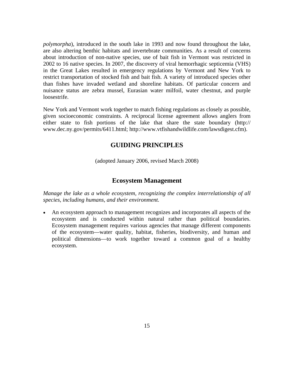*polymorpha*), introduced in the south lake in 1993 and now found throughout the lake, are also altering benthic habitats and invertebrate communities. As a result of concerns about introduction of non-native species, use of bait fish in Vermont was restricted in 2002 to 16 native species. In 2007, the discovery of viral hemorrhagic septicemia (VHS) in the Great Lakes resulted in emergency regulations by Vermont and New York to restrict transportation of stocked fish and bait fish. A variety of introduced species other than fishes have invaded wetland and shoreline habitats. Of particular concern and nuisance status are zebra mussel, Eurasian water milfoil, water chestnut, and purple loosestrife.

New York and Vermont work together to match fishing regulations as closely as possible, given socioeconomic constraints. A reciprocal license agreement allows anglers from either state to fish portions of the lake that share the state boundary (http:// www.dec.ny.gov/permits/6411.html; http://www.vtfishandwildlife.com/lawsdigest.cfm).

# **GUIDING PRINCIPLES**

(adopted January 2006, revised March 2008)

#### **Ecosystem Management**

*Manage the lake as a whole ecosystem, recognizing the complex interrelationship of all species, including humans, and their environment.* 

 An ecosystem approach to management recognizes and incorporates all aspects of the ecosystem and is conducted within natural rather than political boundaries. Ecosystem management requires various agencies that manage different components of the ecosystem—water quality, habitat, fisheries, biodiversity, and human and political dimensions—to work together toward a common goal of a healthy ecosystem.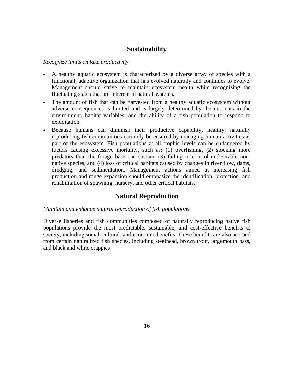# **Sustainability**

#### *Recognize limits on lake productivity*

- A healthy aquatic ecosystem is characterized by a diverse array of species with a functional, adaptive organization that has evolved naturally and continues to evolve. Management should strive to maintain ecosystem health while recognizing the fluctuating states that are inherent in natural systems.
- The amount of fish that can be harvested from a healthy aquatic ecosystem without adverse consequences is limited and is largely determined by the nutrients in the environment, habitat variables, and the ability of a fish population to respond to exploitation.
- Because humans can diminish their productive capability, healthy, naturally reproducing fish communities can only be ensured by managing human activities as part of the ecosystem. Fish populations at all trophic levels can be endangered by factors causing excessive mortality, such as: (1) overfishing, (2) stocking more predators than the forage base can sustain, (3) failing to control undesirable nonnative species, and (4) loss of critical habitats caused by changes in river flow, dams, dredging, and sedimentation. Management actions aimed at increasing fish production and range expansion should emphasize the identification, protection, and rehabilitation of spawning, nursery, and other critical habitats.

# **Natural Reproduction**

#### *Maintain and enhance natural reproduction of fish populations*

Diverse fisheries and fish communities composed of naturally reproducing native fish populations provide the most predictable, sustainable, and cost-effective benefits to society, including social, cultural, and economic benefits. These benefits are also accrued from certain naturalized fish species, including steelhead, brown trout, largemouth bass, and black and white crappies.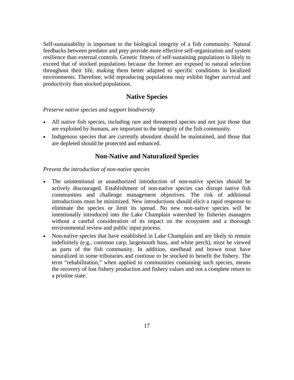Self-sustainability is important to the biological integrity of a fish community. Natural feedbacks between predator and prey provide more effective self-organization and system resilience than external controls. Genetic fitness of self-sustaining populations is likely to exceed that of stocked populations because the former are exposed to natural selection throughout their life, making them better adapted to specific conditions in localized environments. Therefore, wild reproducing populations may exhibit higher survival and productivity than stocked populations.

## **Native Species**

*Preserve native species and support biodiversity* 

- All native fish species, including rare and threatened species and not just those that are exploited by humans, are important to the integrity of the fish community.
- Indigenous species that are currently abundant should be maintained, and those that are depleted should be protected and enhanced.

# **Non-Native and Naturalized Species**

*Prevent the introduction of non-native species* 

- The unintentional or unauthorized introduction of non-native species should be actively discouraged. Establishment of non-native species can disrupt native fish communities and challenge management objectives. The risk of additional introductions must be minimized. New introductions should elicit a rapid response to eliminate the species or limit its spread. No new non-native species will be intentionally introduced into the Lake Champlain watershed by fisheries managers without a careful consideration of its impact on the ecosystem and a thorough environmental review and public input process.
- Non-native species that have established in Lake Champlain and are likely to remain indefinitely (e.g., common carp, largemouth bass, and white perch), must be viewed as parts of the fish community. In addition, steelhead and brown trout have naturalized in some tributaries and continue to be stocked to benefit the fishery. The term "rehabilitation," when applied to communities containing such species, means the recovery of lost fishery production and fishery values and not a complete return to a pristine state.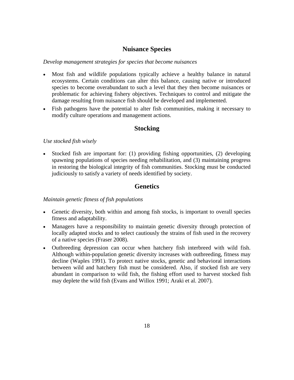# **Nuisance Species**

#### *Develop management strategies for species that become nuisances*

- Most fish and wildlife populations typically achieve a healthy balance in natural ecosystems. Certain conditions can alter this balance, causing native or introduced species to become overabundant to such a level that they then become nuisances or problematic for achieving fishery objectives. Techniques to control and mitigate the damage resulting from nuisance fish should be developed and implemented.
- Fish pathogens have the potential to alter fish communities, making it necessary to modify culture operations and management actions.

# **Stocking**

## *Use stocked fish wisely*

 Stocked fish are important for: (1) providing fishing opportunities, (2) developing spawning populations of species needing rehabilitation, and (3) maintaining progress in restoring the biological integrity of fish communities. Stocking must be conducted judiciously to satisfy a variety of needs identified by society.

# **Genetics**

#### *Maintain genetic fitness of fish populations*

- Genetic diversity, both within and among fish stocks, is important to overall species fitness and adaptability.
- Managers have a responsibility to maintain genetic diversity through protection of locally adapted stocks and to select cautiously the strains of fish used in the recovery of a native species (Fraser 2008).
- Outbreeding depression can occur when hatchery fish interbreed with wild fish. Although within-population genetic diversity increases with outbreeding, fitness may decline (Waples 1991). To protect native stocks, genetic and behavioral interactions between wild and hatchery fish must be considered. Also, if stocked fish are very abundant in comparison to wild fish, the fishing effort used to harvest stocked fish may deplete the wild fish (Evans and Willox 1991; Araki et al. 2007).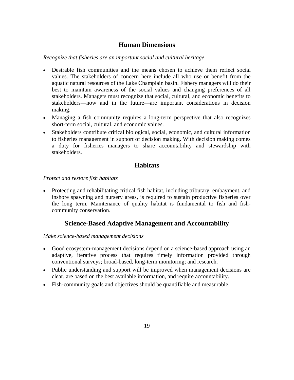# **Human Dimensions**

## *Recognize that fisheries are an important social and cultural heritage*

- Desirable fish communities and the means chosen to achieve them reflect social values. The stakeholders of concern here include all who use or benefit from the aquatic natural resources of the Lake Champlain basin. Fishery managers will do their best to maintain awareness of the social values and changing preferences of all stakeholders. Managers must recognize that social, cultural, and economic benefits to stakeholders—now and in the future—are important considerations in decision making.
- Managing a fish community requires a long-term perspective that also recognizes short-term social, cultural, and economic values.
- Stakeholders contribute critical biological, social, economic, and cultural information to fisheries management in support of decision making. With decision making comes a duty for fisheries managers to share accountability and stewardship with stakeholders.

# **Habitats**

# *Protect and restore fish habitats*

 Protecting and rehabilitating critical fish habitat, including tributary, embayment, and inshore spawning and nursery areas, is required to sustain productive fisheries over the long term. Maintenance of quality habitat is fundamental to fish and fishcommunity conservation.

# **Science-Based Adaptive Management and Accountability**

#### *Make science-based management decisions*

- Good ecosystem-management decisions depend on a science-based approach using an adaptive, iterative process that requires timely information provided through conventional surveys; broad-based, long-term monitoring; and research.
- Public understanding and support will be improved when management decisions are clear, are based on the best available information, and require accountability.
- Fish-community goals and objectives should be quantifiable and measurable.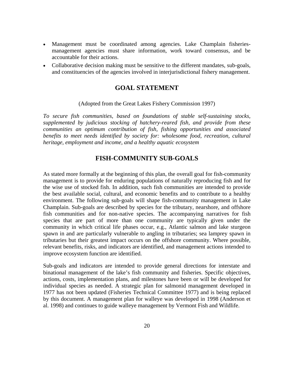- Management must be coordinated among agencies. Lake Champlain fisheriesmanagement agencies must share information, work toward consensus, and be accountable for their actions.
- Collaborative decision making must be sensitive to the different mandates, sub-goals, and constituencies of the agencies involved in interjurisdictional fishery management.

### **GOAL STATEMENT**

(Adopted from the Great Lakes Fishery Commission 1997)

*To secure fish communities, based on foundations of stable self-sustaining stocks, supplemented by judicious stocking of hatchery-reared fish, and provide from these communities an optimum contribution of fish, fishing opportunities and associated benefits to meet needs identified by society for: wholesome food, recreation, cultural heritage, employment and income, and a healthy aquatic ecosystem* 

# **FISH-COMMUNITY SUB-GOALS**

As stated more formally at the beginning of this plan, the overall goal for fish-community management is to provide for enduring populations of naturally reproducing fish and for the wise use of stocked fish. In addition, such fish communities are intended to provide the best available social, cultural, and economic benefits and to contribute to a healthy environment. The following sub-goals will shape fish-community management in Lake Champlain. Sub-goals are described by species for the tributary, nearshore, and offshore fish communities and for non-native species. The accompanying narratives for fish species that are part of more than one community are typically given under the community in which critical life phases occur, e.g., Atlantic salmon and lake sturgeon spawn in and are particularly vulnerable to angling in tributaries; sea lamprey spawn in tributaries but their greatest impact occurs on the offshore community. Where possible, relevant benefits, risks, and indicators are identified, and management actions intended to improve ecosystem function are identified.

Sub-goals and indicators are intended to provide general directions for interstate and binational management of the lake's fish community and fisheries. Specific objectives, actions, costs, implementation plans, and milestones have been or will be developed for individual species as needed. A strategic plan for salmonid management developed in 1977 has not been updated (Fisheries Technical Committee 1977) and is being replaced by this document. A management plan for walleye was developed in 1998 (Anderson et al. 1998) and continues to guide walleye management by Vermont Fish and Wildlife.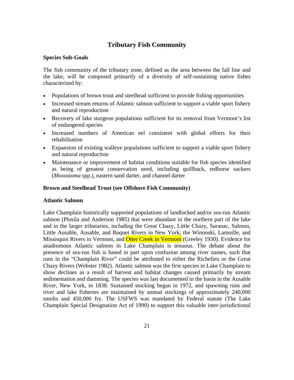# **Tributary Fish Community**

#### **Species Sub-Goals**

The fish community of the tributary zone, defined as the area between the fall line and the lake, will be composed primarily of a diversity of self-sustaining native fishes characterized by:

- Populations of brown trout and steelhead sufficient to provide fishing opportunities
- Increased stream returns of Atlantic salmon sufficient to support a viable sport fishery and natural reproduction
- Recovery of lake sturgeon populations sufficient for its removal from Vermont's list of endangered species
- Increased numbers of American eel consistent with global efforts for their rehabilitation
- Expansion of existing walleye populations sufficient to support a viable sport fishery and natural reproduction
- Maintenance or improvement of habitat conditions suitable for fish species identified as being of greatest conservation need, including quillback, redhorse suckers (*Moxostoma* spp.), eastern sand darter, and channel darter

#### **Brown and Steelhead Trout (see Offshore Fish Community)**

#### **Atlantic Salmon**

Lake Champlain historically supported populations of landlocked and/or sea-run Atlantic salmon (Plosila and Anderson 1985) that were abundant in the northern part of the lake and in the larger tributaries, including the Great Chazy, Little Chazy, Saranac, Salmon, Little Ausable, Ausable, and Boquet Rivers in New York; the Winooski, Lamoille, and Missisquoi Rivers in Vermont, and Otter Creek in Vermont (Greeley 1930). Evidence for anadromous Atlantic salmon in Lake Champlain is tenuous. The debate about the presence of sea-run fish is based in part upon confusion among river names, such that runs in the "Champlain River" could be attributed to either the Richelieu or the Great Chazy Rivers (Webster 1982). Atlantic salmon was the first species in Lake Champlain to show declines as a result of harvest and habitat changes caused primarily by stream sedimentation and damming. The species was last documented in the basin in the Ausable River, New York, in 1838. Sustained stocking began in 1972, and spawning runs and river and lake fisheries are maintained by annual stockings of approximately 240,000 smolts and 450,000 fry. The USFWS was mandated by Federal statute (The Lake Champlain Special Designation Act of 1990) to support this valuable inter-jurisdictional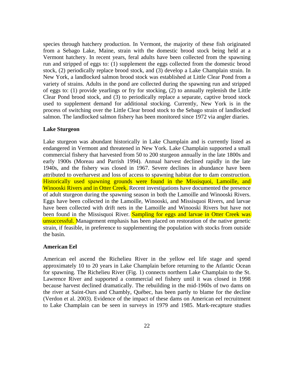species through hatchery production. In Vermont, the majority of these fish originated from a Sebago Lake, Maine, strain with the domestic brood stock being held at a Vermont hatchery. In recent years, feral adults have been collected from the spawning run and stripped of eggs to: (1) supplement the eggs collected from the domestic brood stock, (2) periodically replace brood stock, and (3) develop a Lake Champlain strain. In New York, a landlocked salmon brood stock was established at Little Clear Pond from a variety of strains. Adults in the pond are collected during the spawning run and stripped of eggs to: (1) provide yearlings or fry for stocking, (2) to annually replenish the Little Clear Pond brood stock, and (3) to periodically replace a separate, captive brood stock used to supplement demand for additional stocking. Currently, New York is in the process of switching over the Little Clear brood stock to the Sebago strain of landlocked salmon. The landlocked salmon fishery has been monitored since 1972 via angler diaries.

#### **Lake Sturgeon**

Lake sturgeon was abundant historically in Lake Champlain and is currently listed as endangered in Vermont and threatened in New York. Lake Champlain supported a small commercial fishery that harvested from 50 to 200 sturgeon annually in the late 1800s and early 1900s (Moreau and Parrish 1994). Annual harvest declined rapidly in the late 1940s, and the fishery was closed in 1967. Severe declines in abundance have been attributed to overharvest and loss of access to spawning habitat due to dam construction. Historically used spawning grounds were found in the Missisquoi, Lamoille, and Winooski Rivers and in Otter Creek. Recent investigations have documented the presence of adult sturgeon during the spawning season in both the Lamoille and Winooski Rivers. Eggs have been collected in the Lamoille, Winooski, and Missisquoi Rivers, and larvae have been collected with drift nets in the Lamoille and Winooski Rivers but have not been found in the Missisquoi River. Sampling for eggs and larvae in Otter Creek was unsuccessful. Management emphasis has been placed on restoration of the native genetic strain, if feasible, in preference to supplementing the population with stocks from outside the basin.

#### **American Eel**

American eel ascend the Richelieu River in the yellow eel life stage and spend approximately 10 to 20 years in Lake Champlain before returning to the Atlantic Ocean for spawning. The Richelieu River (Fig. 1) connects northern Lake Champlain to the St. Lawrence River and supported a commercial eel fishery until it was closed in 1998 because harvest declined dramatically. The rebuilding in the mid-1960s of two dams on the river at Saint-Ours and Chambly, Québec, has been partly to blame for the decline (Verdon et al. 2003). Evidence of the impact of these dams on American eel recruitment to Lake Champlain can be seen in surveys in 1979 and 1985. Mark-recapture studies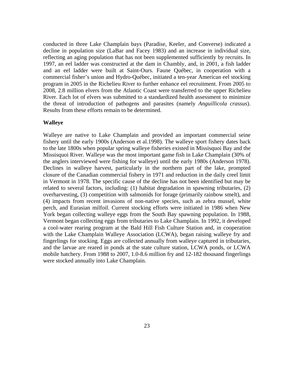conducted in three Lake Champlain bays (Paradise, Keeler, and Converse) indicated a decline in population size (LaBar and Facey 1983) and an increase in individual size, reflecting an aging population that has not been supplemented sufficiently by recruits. In 1997, an eel ladder was constructed at the dam in Chambly, and, in 2001, a fish ladder and an eel ladder were built at Saint-Ours. Faune Québec, in cooperation with a commercial fisher's union and Hydro-Québec, initiated a ten-year American eel stocking program in 2005 in the Richelieu River to further enhance eel recruitment. From 2005 to 2008, 2.8 million elvers from the Atlantic Coast were transferred to the upper Richelieu River. Each lot of elvers was submitted to a standardized health assessment to minimize the threat of introduction of pathogens and parasites (namely *Anguillicola crassus*). Results from these efforts remain to be determined.

#### **Walleye**

Walleye are native to Lake Champlain and provided an important commercial seine fishery until the early 1900s (Anderson et al.1998). The walleye sport fishery dates back to the late 1800s when popular spring walleye fisheries existed in Missisquoi Bay and the Missisquoi River. Walleye was the most important game fish in Lake Champlain (30% of the anglers interviewed were fishing for walleye) until the early 1980s (Anderson 1978). Declines in walleye harvest, particularly in the northern part of the lake, prompted closure of the Canadian commercial fishery in 1971 and reduction in the daily creel limit in Vermont in 1978. The specific cause of the decline has not been identified but may be related to several factors, including: (1) habitat degradation in spawning tributaries, (2) overharvesting, (3) competition with salmonids for forage (primarily rainbow smelt), and (4) impacts from recent invasions of non-native species, such as zebra mussel, white perch, and Eurasian milfoil. Current stocking efforts were initiated in 1986 when New York began collecting walleye eggs from the South Bay spawning population. In 1988, Vermont began collecting eggs from tributaries to Lake Champlain. In 1992, it developed a cool-water rearing program at the Bald Hill Fish Culture Station and, in cooperation with the Lake Champlain Walleye Association (LCWA), began raising walleye fry and fingerlings for stocking. Eggs are collected annually from walleye captured in tributaries, and the larvae are reared in ponds at the state culture station, LCWA ponds, or LCWA mobile hatchery. From 1988 to 2007, 1.0-8.6 million fry and 12-182 thousand fingerlings were stocked annually into Lake Champlain.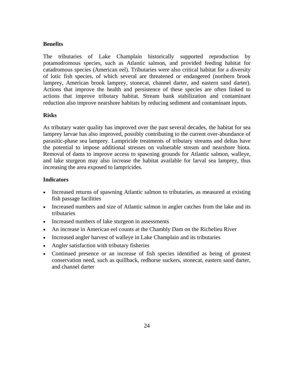#### **Benefits**

The tributaries of Lake Champlain historically supported reproduction by potamodromous species, such as Atlantic salmon, and provided feeding habitat for catadromous species (American eel). Tributaries were also critical habitat for a diversity of lotic fish species, of which several are threatened or endangered (northern brook lamprey, American brook lamprey, stonecat, channel darter, and eastern sand darter). Actions that improve the health and persistence of these species are often linked to actions that improve tributary habitat. Stream bank stabilization and contaminant reduction also improve nearshore habitats by reducing sediment and contaminant inputs.

#### **Risks**

As tributary water quality has improved over the past several decades, the habitat for sea lamprey larvae has also improved, possibly contributing to the current over-abundance of parasitic-phase sea lamprey. Lampricide treatments of tributary streams and deltas have the potential to impose additional stresses on vulnerable stream and nearshore biota. Removal of dams to improve access to spawning grounds for Atlantic salmon, walleye, and lake sturgeon may also increase the habitat available for larval sea lamprey, thus increasing the area exposed to lampricides.

#### **Indicators**

- Increased returns of spawning Atlantic salmon to tributaries, as measured at existing fish passage facilities
- Increased numbers and size of Atlantic salmon in angler catches from the lake and its tributaries
- Increased numbers of lake sturgeon in assessments
- An increase in American eel counts at the Chambly Dam on the Richelieu River
- Increased angler harvest of walleye in Lake Champlain and its tributaries
- Angler satisfaction with tributary fisheries
- Continued presence or an increase of fish species identified as being of greatest conservation need, such as quillback, redhorse suckers, stonecat, eastern sand darter, and channel darter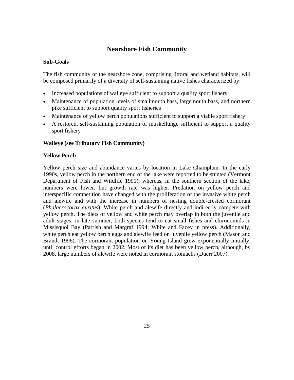# **Nearshore Fish Community**

## **Sub-Goals**

The fish community of the nearshore zone, comprising littoral and wetland habitats, will be composed primarily of a diversity of self-sustaining native fishes characterized by:

- Increased populations of walleye sufficient to support a quality sport fishery
- Maintenance of population levels of smallmouth bass, largemouth bass, and northern pike sufficient to support quality sport fisheries
- Maintenance of yellow perch populations sufficient to support a viable sport fishery
- A restored, self-sustaining population of muskellunge sufficient to support a quality sport fishery

## **Walleye (see Tributary Fish Community)**

## **Yellow Perch**

Yellow perch size and abundance varies by location in Lake Champlain. In the early 1990s, yellow perch in the northern end of the lake were reported to be stunted (Vermont Department of Fish and Wildlife 1991), whereas, in the southern section of the lake, numbers were lower, but growth rate was higher. Predation on yellow perch and interspecific competition have changed with the proliferation of the invasive white perch and alewife and with the increase in numbers of nesting double-crested cormorant (*Phalacrocorax auritus*). White perch and alewife directly and indirectly compete with yellow perch. The diets of yellow and white perch may overlap in both the juvenile and adult stages; in late summer, both species tend to eat small fishes and chironomids in Missisquoi Bay (Parrish and Margraf 1994; White and Facey in press). Additionally, white perch eat yellow perch eggs and alewife feed on juvenile yellow perch (Mason and Brandt 1996). The cormorant population on Young Island grew exponentially initially, until control efforts began in 2002. Most of its diet has been yellow perch, although, by 2008, large numbers of alewife were noted in cormorant stomachs (Duerr 2007).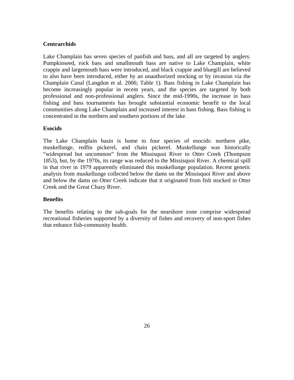#### **Centrarchids**

Lake Champlain has seven species of panfish and bass, and all are targeted by anglers. Pumpkinseed, rock bass and smallmouth bass are native to Lake Champlain, white crappie and largemouth bass were introduced, and black crappie and bluegill are believed to also have been introduced, either by an unauthorized stocking or by invasion via the Champlain Canal (Langdon et al. 2006; Table 1). Bass fishing in Lake Champlain has become increasingly popular in recent years, and the species are targeted by both professional and non-professional anglers. Since the mid-1990s, the increase in bass fishing and bass tournaments has brought substantial economic benefit to the local communities along Lake Champlain and increased interest in bass fishing. Bass fishing is concentrated in the northern and southern portions of the lake.

#### **Esocids**

The Lake Champlain basin is home to four species of esocids: northern pike, muskellunge, redfin pickerel, and chain pickerel. Muskellunge was historically "widespread but uncommon" from the Missisquoi River to Otter Creek (Thompson 1853), but, by the 1970s, its range was reduced to the Missisquoi River. A chemical spill in that river in 1979 apparently eliminated this muskellunge population. Recent genetic analysis from muskellunge collected below the dams on the Missisquoi River and above and below the dams on Otter Creek indicate that it originated from fish stocked in Otter Creek and the Great Chazy River.

#### **Benefits**

The benefits relating to the sub-goals for the nearshore zone comprise widespread recreational fisheries supported by a diversity of fishes and recovery of non-sport fishes that enhance fish-community health.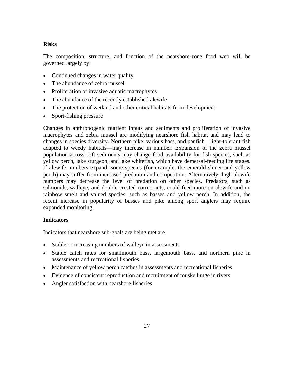#### **Risks**

The composition, structure, and function of the nearshore-zone food web will be governed largely by:

- Continued changes in water quality
- The abundance of zebra mussel
- Proliferation of invasive aquatic macrophytes
- The abundance of the recently established alewife
- The protection of wetland and other critical habitats from development
- Sport-fishing pressure

Changes in anthropogenic nutrient inputs and sediments and proliferation of invasive macrophytes and zebra mussel are modifying nearshore fish habitat and may lead to changes in species diversity. Northern pike, various bass, and panfish—light-tolerant fish adapted to weedy habitats—may increase in number. Expansion of the zebra mussel population across soft sediments may change food availability for fish species, such as yellow perch, lake sturgeon, and lake whitefish, which have demersal-feeding life stages. If alewife numbers expand, some species (for example, the emerald shiner and yellow perch) may suffer from increased predation and competition. Alternatively, high alewife numbers may decrease the level of predation on other species. Predators, such as salmonids, walleye, and double-crested cormorants, could feed more on alewife and on rainbow smelt and valued species, such as basses and yellow perch. In addition, the recent increase in popularity of basses and pike among sport anglers may require expanded monitoring.

#### **Indicators**

Indicators that nearshore sub-goals are being met are:

- Stable or increasing numbers of walleye in assessments
- Stable catch rates for smallmouth bass, largemouth bass, and northern pike in assessments and recreational fisheries
- Maintenance of yellow perch catches in assessments and recreational fisheries
- Evidence of consistent reproduction and recruitment of muskellunge in rivers
- Angler satisfaction with nearshore fisheries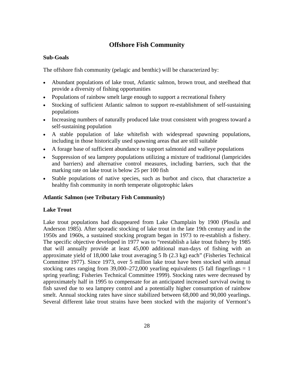# **Offshore Fish Community**

## **Sub-Goals**

The offshore fish community (pelagic and benthic) will be characterized by:

- Abundant populations of lake trout, Atlantic salmon, brown trout, and steelhead that provide a diversity of fishing opportunities
- Populations of rainbow smelt large enough to support a recreational fishery
- Stocking of sufficient Atlantic salmon to support re-establishment of self-sustaining populations
- Increasing numbers of naturally produced lake trout consistent with progress toward a self-sustaining population
- A stable population of lake whitefish with widespread spawning populations, including in those historically used spawning areas that are still suitable
- A forage base of sufficient abundance to support salmonid and walleye populations
- Suppression of sea lamprey populations utilizing a mixture of traditional (lampricides and barriers) and alternative control measures, including barriers, such that the marking rate on lake trout is below 25 per 100 fish
- Stable populations of native species, such as burbot and cisco, that characterize a healthy fish community in north temperate oligotrophic lakes

#### **Atlantic Salmon (see Tributary Fish Community)**

#### **Lake Trout**

Lake trout populations had disappeared from Lake Champlain by 1900 (Plosila and Anderson 1985). After sporadic stocking of lake trout in the late 19th century and in the 1950s and 1960s, a sustained stocking program began in 1973 to re-establish a fishery. The specific objective developed in 1977 was to "reestablish a lake trout fishery by 1985 that will annually provide at least 45,000 additional man-days of fishing with an approximate yield of 18,000 lake trout averaging 5 lb (2.3 kg) each" (Fisheries Technical Committee 1977). Since 1973, over 5 million lake trout have been stocked with annual stocking rates ranging from 39,000–272,000 yearling equivalents (5 fall fingerlings  $= 1$ ) spring yearling; Fisheries Technical Committee 1999). Stocking rates were decreased by approximately half in 1995 to compensate for an anticipated increased survival owing to fish saved due to sea lamprey control and a potentially higher consumption of rainbow smelt. Annual stocking rates have since stabilized between 68,000 and 90,000 yearlings. Several different lake trout strains have been stocked with the majority of Vermont's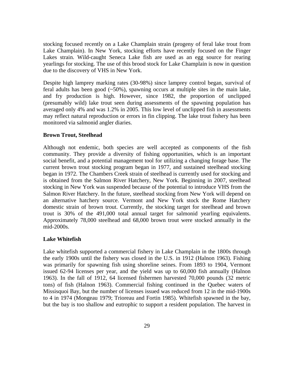stocking focused recently on a Lake Champlain strain (progeny of feral lake trout from Lake Champlain). In New York, stocking efforts have recently focused on the Finger Lakes strain. Wild-caught Seneca Lake fish are used as an egg source for rearing yearlings for stocking. The use of this brood stock for Lake Champlain is now in question due to the discovery of VHS in New York.

Despite high lamprey marking rates (30-98%) since lamprey control began, survival of feral adults has been good  $(-50\%)$ , spawning occurs at multiple sites in the main lake, and fry production is high. However, since 1982, the proportion of unclipped (presumably wild) lake trout seen during assessments of the spawning population has averaged only 4% and was 1.2% in 2005. This low level of unclipped fish in assessments may reflect natural reproduction or errors in fin clipping. The lake trout fishery has been monitored via salmonid angler diaries.

#### **Brown Trout, Steelhead**

Although not endemic, both species are well accepted as components of the fish community. They provide a diversity of fishing opportunities, which is an important social benefit, and a potential management tool for utilizing a changing forage base. The current brown trout stocking program began in 1977, and sustained steelhead stocking began in 1972. The Chambers Creek strain of steelhead is currently used for stocking and is obtained from the Salmon River Hatchery, New York. Beginning in 2007, steelhead stocking in New York was suspended because of the potential to introduce VHS from the Salmon River Hatchery. In the future, steelhead stocking from New York will depend on an alternative hatchery source. Vermont and New York stock the Rome Hatchery domestic strain of brown trout. Currently, the stocking target for steelhead and brown trout is 30% of the 491,000 total annual target for salmonid yearling equivalents. Approximately 78,000 steelhead and 68,000 brown trout were stocked annually in the mid-2000s.

#### **Lake Whitefish**

Lake whitefish supported a commercial fishery in Lake Champlain in the 1800s through the early 1900s until the fishery was closed in the U.S. in 1912 (Halnon 1963). Fishing was primarily for spawning fish using shoreline seines. From 1893 to 1904, Vermont issued 62-94 licenses per year, and the yield was up to 60,000 fish annually (Halnon 1963). In the fall of 1912, 64 licensed fishermen harvested 70,000 pounds (32 metric tons) of fish (Halnon 1963). Commercial fishing continued in the Quebec waters of Missisquoi Bay, but the number of licenses issued was reduced from 12 in the mid-1900s to 4 in 1974 (Mongeau 1979; Trioreau and Fortin 1985). Whitefish spawned in the bay, but the bay is too shallow and eutrophic to support a resident population. The harvest in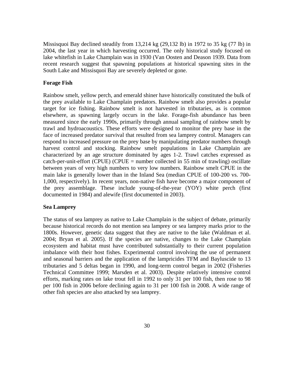Missisquoi Bay declined steadily from  $13,214$  kg  $(29,132$  lb) in 1972 to 35 kg  $(77 \text{ lb})$  in 2004, the last year in which harvesting occurred. The only historical study focused on lake whitefish in Lake Champlain was in 1930 (Van Oosten and Deason 1939. Data from recent research suggest that spawning populations at historical spawning sites in the South Lake and Missisquoi Bay are severely depleted or gone.

#### **Forage Fish**

Rainbow smelt, yellow perch, and emerald shiner have historically constituted the bulk of the prey available to Lake Champlain predators. Rainbow smelt also provides a popular target for ice fishing. Rainbow smelt is not harvested in tributaries, as is common elsewhere, as spawning largely occurs in the lake. Forage-fish abundance has been measured since the early 1990s, primarily through annual sampling of rainbow smelt by trawl and hydroacoustics. These efforts were designed to monitor the prey base in the face of increased predator survival that resulted from sea lamprey control. Managers can respond to increased pressure on the prey base by manipulating predator numbers through harvest control and stocking. Rainbow smelt populations in Lake Champlain are characterized by an age structure dominated by ages 1-2. Trawl catches expressed as catch-per-unit-effort (CPUE) (CPUE = number collected in 55 min of trawling) oscillate between years of very high numbers to very low numbers. Rainbow smelt CPUE in the main lake is generally lower than in the Inland Sea (median CPUE of 100-200 vs. 700- 1,000, respectively). In recent years, non-native fish have become a major component of the prey assemblage. These include young-of-the-year (YOY) white perch (first documented in 1984) and alewife (first documented in 2003).

#### **Sea Lamprey**

The status of sea lamprey as native to Lake Champlain is the subject of debate, primarily because historical records do not mention sea lamprey or sea lamprey marks prior to the 1800s. However, genetic data suggest that they are native to the lake (Waldman et al. 2004; Bryan et al. 2005). If the species are native, changes to the Lake Champlain ecosystem and habitat must have contributed substantially to their current population imbalance with their host fishes. Experimental control involving the use of permanent and seasonal barriers and the application of the lampricides TFM and Bayluscide to 13 tributaries and 5 deltas began in 1990, and long-term control began in 2002 (Fisheries Technical Committee 1999; Marsden et al. 2003). Despite relatively intensive control efforts, marking rates on lake trout fell in 1992 to only 31 per 100 fish, then rose to 98 per 100 fish in 2006 before declining again to 31 per 100 fish in 2008. A wide range of other fish species are also attacked by sea lamprey.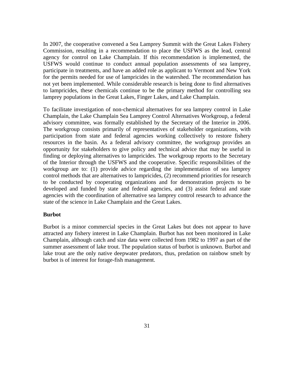In 2007, the cooperative convened a Sea Lamprey Summit with the Great Lakes Fishery Commission, resulting in a recommendation to place the USFWS as the lead, central agency for control on Lake Champlain. If this recommendation is implemented, the USFWS would continue to conduct annual population assessments of sea lamprey, participate in treatments, and have an added role as applicant to Vermont and New York for the permits needed for use of lampricides in the watershed. The recommendation has not yet been implemented. While considerable research is being done to find alternatives to lampricides, these chemicals continue to be the primary method for controlling sea lamprey populations in the Great Lakes, Finger Lakes, and Lake Champlain.

To facilitate investigation of non-chemical alternatives for sea lamprey control in Lake Champlain, the Lake Champlain Sea Lamprey Control Alternatives Workgroup, a federal advisory committee, was formally established by the Secretary of the Interior in 2006. The workgroup consists primarily of representatives of stakeholder organizations, with participation from state and federal agencies working collectively to restore fishery resources in the basin. As a federal advisory committee, the workgroup provides an opportunity for stakeholders to give policy and technical advice that may be useful in finding or deploying alternatives to lampricides. The workgroup reports to the Secretary of the Interior through the USFWS and the cooperative. Specific responsibilities of the workgroup are to: (1) provide advice regarding the implementation of sea lamprey control methods that are alternatives to lampricides, (2) recommend priorities for research to be conducted by cooperating organizations and for demonstration projects to be developed and funded by state and federal agencies, and (3) assist federal and state agencies with the coordination of alternative sea lamprey control research to advance the state of the science in Lake Champlain and the Great Lakes.

#### **Burbot**

Burbot is a minor commercial species in the Great Lakes but does not appear to have attracted any fishery interest in Lake Champlain. Burbot has not been monitored in Lake Champlain, although catch and size data were collected from 1982 to 1997 as part of the summer assessment of lake trout. The population status of burbot is unknown. Burbot and lake trout are the only native deepwater predators, thus, predation on rainbow smelt by burbot is of interest for forage-fish management.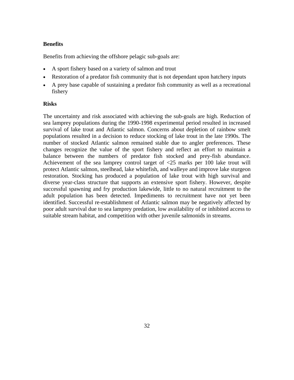## **Benefits**

Benefits from achieving the offshore pelagic sub-goals are:

- A sport fishery based on a variety of salmon and trout
- Restoration of a predator fish community that is not dependant upon hatchery inputs
- A prey base capable of sustaining a predator fish community as well as a recreational fishery

#### **Risks**

The uncertainty and risk associated with achieving the sub-goals are high. Reduction of sea lamprey populations during the 1990-1998 experimental period resulted in increased survival of lake trout and Atlantic salmon. Concerns about depletion of rainbow smelt populations resulted in a decision to reduce stocking of lake trout in the late 1990s. The number of stocked Atlantic salmon remained stable due to angler preferences. These changes recognize the value of the sport fishery and reflect an effort to maintain a balance between the numbers of predator fish stocked and prey-fish abundance. Achievement of the sea lamprey control target of <25 marks per 100 lake trout will protect Atlantic salmon, steelhead, lake whitefish, and walleye and improve lake sturgeon restoration. Stocking has produced a population of lake trout with high survival and diverse year-class structure that supports an extensive sport fishery. However, despite successful spawning and fry production lakewide, little to no natural recruitment to the adult population has been detected. Impediments to recruitment have not yet been identified. Successful re-establishment of Atlantic salmon may be negatively affected by poor adult survival due to sea lamprey predation, low availability of or inhibited access to suitable stream habitat, and competition with other juvenile salmonids in streams.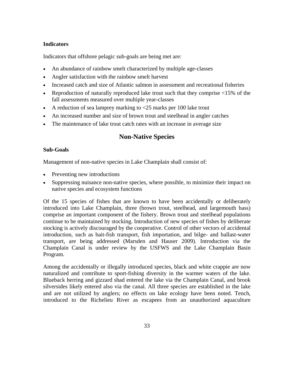#### **Indicators**

Indicators that offshore pelagic sub-goals are being met are:

- An abundance of rainbow smelt characterized by multiple age-classes
- Angler satisfaction with the rainbow smelt harvest
- Increased catch and size of Atlantic salmon in assessment and recreational fisheries
- Reproduction of naturally reproduced lake trout such that they comprise  $<15\%$  of the fall assessments measured over multiple year-classes
- A reduction of sea lamprey marking to  $\langle 25 \rangle$  marks per 100 lake trout
- An increased number and size of brown trout and steelhead in angler catches
- The maintenance of lake trout catch rates with an increase in average size

# **Non-Native Species**

#### **Sub-Goals**

Management of non-native species in Lake Champlain shall consist of:

- Preventing new introductions
- Suppressing nuisance non-native species, where possible, to minimize their impact on native species and ecosystem functions

Of the 15 species of fishes that are known to have been accidentally or deliberately introduced into Lake Champlain, three (brown trout, steelhead, and largemouth bass) comprise an important component of the fishery. Brown trout and steelhead populations continue to be maintained by stocking. Introduction of new species of fishes by deliberate stocking is actively discouraged by the cooperative. Control of other vectors of accidental introduction, such as bait-fish transport, fish importation, and bilge- and ballast-water transport, are being addressed (Marsden and Hauser 2009). Introduction via the Champlain Canal is under review by the USFWS and the Lake Champlain Basin Program.

Among the accidentally or illegally introduced species, black and white crappie are now naturalized and contribute to sport-fishing diversity in the warmer waters of the lake. Blueback herring and gizzard shad entered the lake via the Champlain Canal, and brook silversides likely entered also via the canal. All three species are established in the lake and are not utilized by anglers; no effects on lake ecology have been noted. Tench, introduced to the Richelieu River as escapees from an unauthorized aquaculture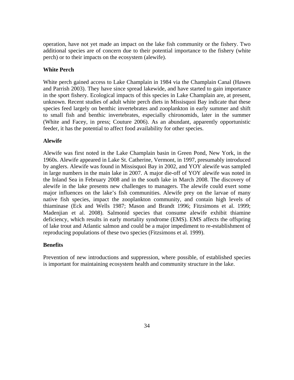operation, have not yet made an impact on the lake fish community or the fishery. Two additional species are of concern due to their potential importance to the fishery (white perch) or to their impacts on the ecosystem (alewife).

#### **White Perch**

White perch gained access to Lake Champlain in 1984 via the Champlain Canal (Hawes and Parrish 2003). They have since spread lakewide, and have started to gain importance in the sport fishery. Ecological impacts of this species in Lake Champlain are, at present, unknown. Recent studies of adult white perch diets in Missisquoi Bay indicate that these species feed largely on benthic invertebrates and zooplankton in early summer and shift to small fish and benthic invertebrates, especially chironomids, later in the summer (White and Facey, in press; Couture 2006). As an abundant, apparently opportunistic feeder, it has the potential to affect food availability for other species.

#### **Alewife**

Alewife was first noted in the Lake Champlain basin in Green Pond, New York, in the 1960s. Alewife appeared in Lake St. Catherine, Vermont, in 1997, presumably introduced by anglers. Alewife was found in Missisquoi Bay in 2002, and YOY alewife was sampled in large numbers in the main lake in 2007. A major die-off of YOY alewife was noted in the Inland Sea in February 2008 and in the south lake in March 2008. The discovery of alewife in the lake presents new challenges to managers. The alewife could exert some major influences on the lake's fish communities. Alewife prey on the larvae of many native fish species, impact the zooplankton community, and contain high levels of thiaminase (Eck and Wells 1987; Mason and Brandt 1996; Fitzsimons et al. 1999; Madenjian et al. 2008). Salmonid species that consume alewife exhibit thiamine deficiency, which results in early mortality syndrome (EMS). EMS affects the offspring of lake trout and Atlantic salmon and could be a major impediment to re-establishment of reproducing populations of these two species (Fitzsimons et al. 1999).

#### **Benefits**

Prevention of new introductions and suppression, where possible, of established species is important for maintaining ecosystem health and community structure in the lake.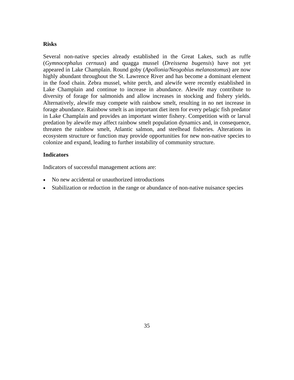#### **Risks**

Several non-native species already established in the Great Lakes, such as ruffe (*Gymnocephalus cernuus*) and quagga mussel (*Dreissena bugensis*) have not yet appeared in Lake Champlain. Round goby (*Apollonia/Neogobius melanostomus*) are now highly abundant throughout the St. Lawrence River and has become a dominant element in the food chain. Zebra mussel, white perch, and alewife were recently established in Lake Champlain and continue to increase in abundance. Alewife may contribute to diversity of forage for salmonids and allow increases in stocking and fishery yields. Alternatively, alewife may compete with rainbow smelt, resulting in no net increase in forage abundance. Rainbow smelt is an important diet item for every pelagic fish predator in Lake Champlain and provides an important winter fishery. Competition with or larval predation by alewife may affect rainbow smelt population dynamics and, in consequence, threaten the rainbow smelt, Atlantic salmon, and steelhead fisheries. Alterations in ecosystem structure or function may provide opportunities for new non-native species to colonize and expand, leading to further instability of community structure.

#### **Indicators**

Indicators of successful management actions are:

- No new accidental or unauthorized introductions
- Stabilization or reduction in the range or abundance of non-native nuisance species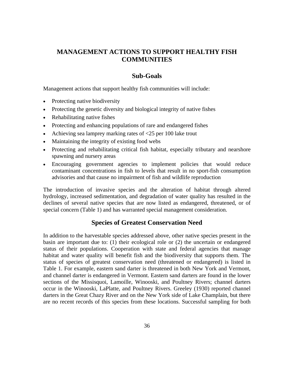# **MANAGEMENT ACTIONS TO SUPPORT HEALTHY FISH COMMUNITIES**

#### **Sub-Goals**

Management actions that support healthy fish communities will include:

- Protecting native biodiversity
- Protecting the genetic diversity and biological integrity of native fishes
- Rehabilitating native fishes
- Protecting and enhancing populations of rare and endangered fishes
- Achieving sea lamprey marking rates of <25 per 100 lake trout
- Maintaining the integrity of existing food webs
- Protecting and rehabilitating critical fish habitat, especially tributary and nearshore spawning and nursery areas
- Encouraging government agencies to implement policies that would reduce contaminant concentrations in fish to levels that result in no sport-fish consumption advisories and that cause no impairment of fish and wildlife reproduction

The introduction of invasive species and the alteration of habitat through altered hydrology, increased sedimentation, and degradation of water quality has resulted in the declines of several native species that are now listed as endangered, threatened, or of special concern (Table 1) and has warranted special management consideration.

# **Species of Greatest Conservation Need**

In addition to the harvestable species addressed above, other native species present in the basin are important due to: (1) their ecological role or (2) the uncertain or endangered status of their populations. Cooperation with state and federal agencies that manage habitat and water quality will benefit fish and the biodiversity that supports them. The status of species of greatest conservation need (threatened or endangered) is listed in Table 1. For example, eastern sand darter is threatened in both New York and Vermont, and channel darter is endangered in Vermont. Eastern sand darters are found in the lower sections of the Missisquoi, Lamoille, Winooski, and Poultney Rivers; channel darters occur in the Winooski, LaPlatte, and Poultney Rivers. Greeley (1930) reported channel darters in the Great Chazy River and on the New York side of Lake Champlain, but there are no recent records of this species from these locations. Successful sampling for both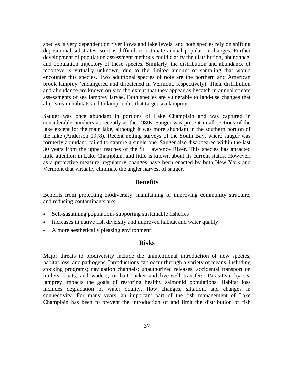species is very dependent on river flows and lake levels, and both species rely on shifting depositional substrates, so it is difficult to estimate annual population changes. Further development of population assessment methods could clarify the distribution, abundance, and population trajectory of these species. Similarly, the distribution and abundance of mooneye is virtually unknown, due to the limited amount of sampling that would encounter this species. Two additional species of note are the northern and American brook lamprey (endangered and threatened in Vermont, respectively). Their distribution and abundance are known only to the extent that they appear as bycatch in annual stream assessments of sea lamprey larvae. Both species are vulnerable to land-use changes that alter stream habitats and to lampricides that target sea lamprey.

Sauger was once abundant in portions of Lake Champlain and was captured in considerable numbers as recently as the 1980s. Sauger was present in all sections of the lake except for the main lake, although it was more abundant in the southern portion of the lake (Anderson 1978). Recent netting surveys of the South Bay, where sauger was formerly abundant, failed to capture a single one. Sauger also disappeared within the last 30 years from the upper reaches of the St. Lawrence River. This species has attracted little attention in Lake Champlain, and little is known about its current status. However, as a protective measure, regulatory changes have been enacted by both New York and Vermont that virtually eliminate the angler harvest of sauger.

## **Benefits**

Benefits from protecting biodiversity, maintaining or improving community structure, and reducing contaminants are:

- Self-sustaining populations supporting sustainable fisheries
- Increases in native fish diversity and improved habitat and water quality
- A more aesthetically pleasing environment

### **Risks**

Major threats to biodiversity include the unintentional introduction of new species, habitat loss, and pathogens. Introductions can occur through a variety of means, including stocking programs; navigation channels; unauthorized releases; accidental transport on trailers, boats, and waders; or bait-bucket and live-well transfers. Parasitism by sea lamprey impacts the goals of restoring healthy salmonid populations. Habitat loss includes degradation of water quality, flow changes, siltation, and changes in connectivity. For many years, an important part of the fish management of Lake Champlain has been to prevent the introduction of and limit the distribution of fish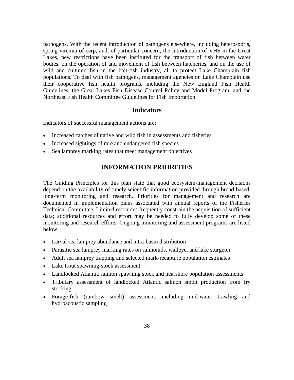pathogens. With the recent introduction of pathogens elsewhere, including heterosporis, spring viremia of carp, and, of particular concern, the introduction of VHS in the Great Lakes, new restrictions have been instituted for the transport of fish between water bodies, on the operation of and movement of fish between hatcheries, and on the use of wild and cultured fish in the bait-fish industry, all to protect Lake Champlain fish populations. To deal with fish pathogens, management agencies on Lake Champlain use their cooperative fish health programs, including the New England Fish Health Guidelines, the Great Lakes Fish Disease Control Policy and Model Program, and the Northeast Fish Health Committee Guidelines for Fish Importation.

#### **Indicators**

Indicators of successful management actions are:

- Increased catches of native and wild fish in assessments and fisheries
- Increased sightings of rare and endangered fish species
- Sea lamprey marking rates that meet management objectives

# **INFORMATION PRIORITIES**

The Guiding Principles for this plan state that good ecosystem-management decisions depend on the availability of timely scientific information provided through broad-based, long-term monitoring and research. Priorities for management and research are documented in implementation plans associated with annual reports of the Fisheries Technical Committee. Limited resources frequently constrain the acquisition of sufficient data; additional resources and effort may be needed to fully develop some of these monitoring and research efforts. Ongoing monitoring and assessment programs are listed below:

- Larval sea lamprey abundance and intra-basin distribution
- Parasitic sea lamprey marking rates on salmonids, walleye, and lake sturgeon
- Adult sea lamprey trapping and selected mark-recapture population estimates
- Lake trout spawning-stock assessment
- Landlocked Atlantic salmon spawning stock and nearshore population assessments
- Tributary assessment of landlocked Atlantic salmon smolt production from fry stocking
- Forage-fish (rainbow smelt) assessment, including mid-water trawling and hydroacoustic sampling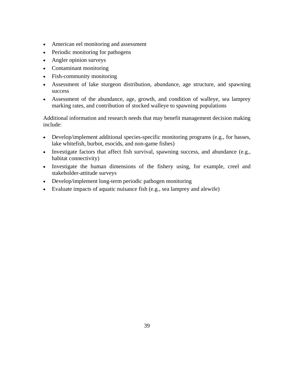- American eel monitoring and assessment
- Periodic monitoring for pathogens
- Angler opinion surveys
- Contaminant monitoring
- Fish-community monitoring
- Assessment of lake sturgeon distribution, abundance, age structure, and spawning success
- Assessment of the abundance, age, growth, and condition of walleye, sea lamprey marking rates, and contribution of stocked walleye to spawning populations

Additional information and research needs that may benefit management decision making include:

- Develop/implement additional species-specific monitoring programs (e.g., for basses, lake whitefish, burbot, esocids, and non-game fishes)
- Investigate factors that affect fish survival, spawning success, and abundance (e.g., habitat connectivity)
- Investigate the human dimensions of the fishery using, for example, creel and stakeholder-attitude surveys
- Develop/implement long-term periodic pathogen monitoring
- Evaluate impacts of aquatic nuisance fish (e.g., sea lamprey and alewife)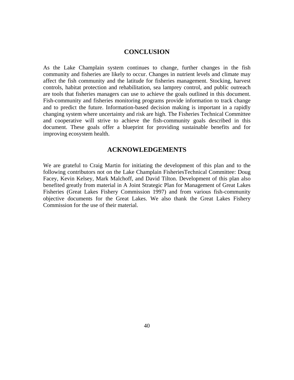#### **CONCLUSION**

As the Lake Champlain system continues to change, further changes in the fish community and fisheries are likely to occur. Changes in nutrient levels and climate may affect the fish community and the latitude for fisheries management. Stocking, harvest controls, habitat protection and rehabilitation, sea lamprey control, and public outreach are tools that fisheries managers can use to achieve the goals outlined in this document. Fish-community and fisheries monitoring programs provide information to track change and to predict the future. Information-based decision making is important in a rapidly changing system where uncertainty and risk are high. The Fisheries Technical Committee and cooperative will strive to achieve the fish-community goals described in this document. These goals offer a blueprint for providing sustainable benefits and for improving ecosystem health.

## **ACKNOWLEDGEMENTS**

We are grateful to Craig Martin for initiating the development of this plan and to the following contributors not on the Lake Champlain FisheriesTechnical Committee: Doug Facey, Kevin Kelsey, Mark Malchoff, and David Tilton. Development of this plan also benefited greatly from material in A Joint Strategic Plan for Management of Great Lakes Fisheries (Great Lakes Fishery Commission 1997) and from various fish-community objective documents for the Great Lakes. We also thank the Great Lakes Fishery Commission for the use of their material.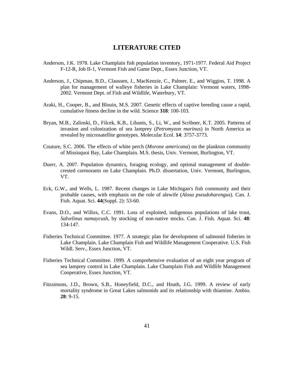## **LITERATURE CITED**

- Anderson, J.K. 1978. Lake Champlain fish population inventory, 1971-1977. Federal Aid Project F-12-R, Job II-1, Vermont Fish and Game Dept., Essex Junction, VT.
- Anderson, J., Chipman, B.D., Claussen, J., MacKenzie, C., Palmer, E., and Wiggins, T. 1998. A plan for management of walleye fisheries in Lake Champlain: Vermont waters, 1998- 2002. Vermont Dept. of Fish and Wildlife, Waterbury, VT.
- Araki, H., Cooper, B., and Blouin, M.S. 2007. Genetic effects of captive breeding cause a rapid, cumulative fitness decline in the wild. Science **318**: 100-103.
- Bryan, M.B., Zalinski, D., Filcek, K.B., Libants, S., Li, W., and Scribner, K.T. 2005. Patterns of invasion and colonization of sea lamprey (*Petromyzon marinus*) in North America as revealed by microsatellite genotypes. Molecular Ecol. **14**: 3757-3773.
- Couture, S.C. 2006. The effects of white perch (*Morone americana*) on the plankton community of Missisquoi Bay, Lake Champlain. M.S. thesis, Univ. Vermont, Burlington, VT.
- Duerr, A. 2007. Population dynamics, foraging ecology, and optimal management of doublecrested cormorants on Lake Champlain. Ph.D. dissertation, Univ. Vermont, Burlington, VT.
- Eck, G.W., and Wells, L. 1987. Recent changes in Lake Michigan's fish community and their probable causes, with emphasis on the role of alewife (*Alosa pseudoharengus*). Can. J. Fish. Aquat. Sci. **44**(Suppl. 2): 53-60.
- Evans, D.O., and Willox, C.C. 1991. Loss of exploited, indigenous populations of lake trout, *Salvelinus namaycush*, by stocking of non-native stocks. Can. J. Fish. Aquat. Sci. **48**: 134-147.
- Fisheries Technical Committee. 1977. A strategic plan for development of salmonid fisheries in Lake Champlain. Lake Champlain Fish and Wildlife Management Cooperative. U.S. Fish Wildl. Serv., Essex Junction, VT.
- Fisheries Technical Committee. 1999. A comprehensive evaluation of an eight year program of sea lamprey control in Lake Champlain. Lake Champlain Fish and Wildlife Management Cooperative, Essex Junction, VT.
- Fitzsimons, J.D., Brown, S.B., Honeyfield, D.C., and Hnath, J.G. 1999. A review of early mortality syndrome in Great Lakes salmonids and its relationship with thiamine. Ambio. **28**: 9-15.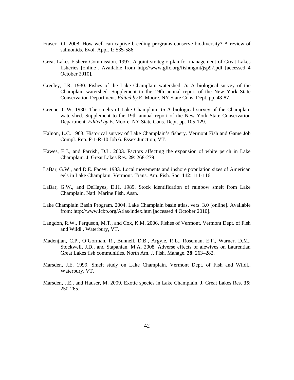- Fraser D.J. 2008. How well can captive breeding programs conserve biodiversity? A review of salmonids. Evol. Appl. **1**: 535-586.
- Great Lakes Fishery Commission. 1997. A joint strategic plan for management of Great Lakes fisheries [online]. Available from http://www.glfc.org/fishmgmt/jsp97.pdf [accessed 4 October 2010].
- Greeley, J.R. 1930. Fishes of the Lake Champlain watershed. *In* A biological survey of the Champlain watershed. Supplement to the 19th annual report of the New York State Conservation Department. *Edited by* E. Moore. NY State Cons. Dept. pp. 48-87.
- Greene, C.W. 1930. The smelts of Lake Champlain. *In* A biological survey of the Champlain watershed. Supplement to the 19th annual report of the New York State Conservation Department. *Edited by* E. Moore. NY State Cons. Dept. pp. 105-129.
- Halnon, L.C. 1963. Historical survey of Lake Champlain's fishery. Vermont Fish and Game Job Compl. Rep. F-1-R-10 Job 6. Essex Junction, VT.
- Hawes, E.J., and Parrish, D.L. 2003. Factors affecting the expansion of white perch in Lake Champlain. J. Great Lakes Res. **29**: 268-279.
- LaBar, G.W., and D.E. Facey. 1983. Local movements and inshore population sizes of American eels in Lake Champlain, Vermont. Trans. Am. Fish. Soc. **112**: 111-116.
- LaBar, G.W., and DeHayes, D.H. 1989. Stock identification of rainbow smelt from Lake Champlain. Natl. Marine Fish. Assn.
- Lake Champlain Basin Program. 2004. Lake Champlain basin atlas, vers. 3.0 [online]. Available from: http://www.lcbp.org/Atlas/index.htm [accessed 4 October 2010].
- Langdon, R.W., Ferguson, M.T., and Cox, K.M. 2006. Fishes of Vermont. Vermont Dept. of Fish and Wildl., Waterbury, VT.
- Madenjian, C.P., O'Gorman, R., Bunnell, D.B., Argyle, R.L., Roseman, E.F., Warner, D.M., Stockwell, J.D., and Stapanian, M.A. 2008. Adverse effects of alewives on Laurentian Great Lakes fish communities. North Am. J. Fish. Manage. **28**: 263–282.
- Marsden, J.E. 1999. Smelt study on Lake Champlain. Vermont Dept. of Fish and Wildl., Waterbury, VT.
- Marsden, J.E., and Hauser, M. 2009. Exotic species in Lake Champlain. J. Great Lakes Res. **35**: 250-265.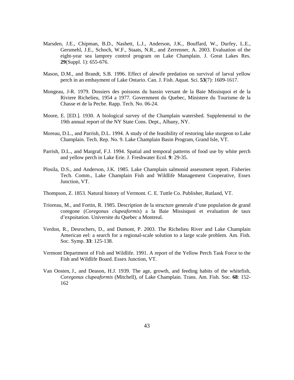- Marsden, J.E., Chipman, B.D., Nashett, L.J., Anderson, J.K., Bouffard, W., Durfey, L.E., Gersmehl, J.E., Schoch, W.F., Staats, N.R., and Zerrenner, A. 2003. Evaluation of the eight-year sea lamprey control program on Lake Champlain. J. Great Lakes Res. **29**(Suppl. 1): 655-676.
- Mason, D.M., and Brandt, S.B. 1996. Effect of alewife predation on survival of larval yellow perch in an embayment of Lake Ontario. Can. J. Fish. Aquat. Sci. **53**(7): 1609-1617.
- Mongeau, J-R. 1979. Dossiers des poissons du bassin versant de la Baie Missisquoi et de la Riviere Richelieu, 1954 a 1977. Government du Quebec, Ministere du Tourisme de la Chasse et de la Peche. Rapp. Tech. No. 06-24.
- Moore, E. [ED.]. 1930. A biological survey of the Champlain watershed. Supplemental to the 19th annual report of the NY State Cons. Dept., Albany, NY.
- Moreau, D.L., and Parrish, D.L. 1994. A study of the feasibility of restoring lake sturgeon to Lake Champlain. Tech. Rep. No. 9. Lake Champlain Basin Program, Grand Isle, VT.
- Parrish, D.L., and Margraf, F.J. 1994. Spatial and temporal patterns of food use by white perch and yellow perch in Lake Erie. J. Freshwater Ecol. **9**: 29-35.
- Plosila, D.S., and Anderson, J.K. 1985. Lake Champlain salmonid assessment report. Fisheries Tech. Comm., Lake Champlain Fish and Wildlife Management Cooperative, Essex Junction, VT.
- Thompson, Z. 1853. Natural history of Vermont. C. E. Tuttle Co. Publisher, Rutland, VT.
- Trioreau, M., and Fortin, R. 1985. Description de la structure generale d'une population de grand coregone (*Coregonus clupeaformis*) a la Baie Missisquoi et evaluation de taux d'expoitation. Universite du Quebec a Montreal.
- Verdon, R., Desrochers, D., and Dumont, P. 2003. The Richelieu River and Lake Champlain American eel: a search for a regional-scale solution to a large scale problem. Am. Fish. Soc. Symp. **33**: 125-138.
- Vermont Department of Fish and Wildlife. 1991. A report of the Yellow Perch Task Force to the Fish and Wildlife Board. Essex Junction, VT.
- Van Oosten, J., and Deason, H.J. 1939. The age, growth, and feeding habits of the whitefish, *Coregonus clupeaformis* (Mitchell), of Lake Champlain. Trans. Am. Fish. Soc. **68**: 152- 162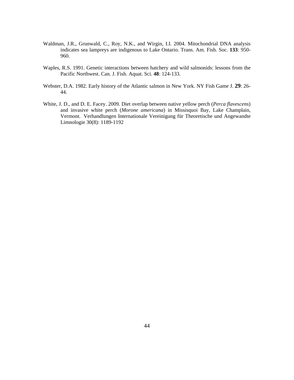- Waldman, J.R., Grunwald, C., Roy, N.K., and Wirgin, I.I. 2004. Mitochondrial DNA analysis indicates sea lampreys are indigenous to Lake Ontario. Trans. Am. Fish. Soc. **133**: 950- 960.
- Waples, R.S. 1991. Genetic interactions between hatchery and wild salmonids: lessons from the Pacific Northwest. Can. J. Fish. Aquat. Sci. **48**: 124-133.
- Webster, D.A. 1982. Early history of the Atlantic salmon in New York. NY Fish Game J. **29**: 26- 44.
- White, J. D., and D. E. Facey. 2009. Diet overlap between native yellow perch (*Perca flavescens*) and invasive white perch (*Morone americana*) in Missisquoi Bay, Lake Champlain, Vermont. Verhandlungen Internationale Vereinigung für Theoretische und Angewandte Limnologie 30(8): 1189-1192